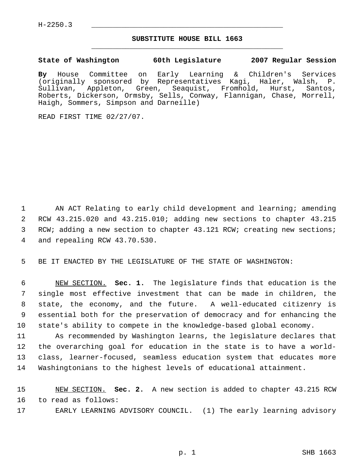## **SUBSTITUTE HOUSE BILL 1663** \_\_\_\_\_\_\_\_\_\_\_\_\_\_\_\_\_\_\_\_\_\_\_\_\_\_\_\_\_\_\_\_\_\_\_\_\_\_\_\_\_\_\_\_\_

**State of Washington 60th Legislature 2007 Regular Session**

**By** House Committee on Early Learning & Children's Services (originally sponsored by Representatives Kagi, Haler, Walsh, P. Sullivan, Appleton, Green, Seaquist, Fromhold, Hurst, Santos, Roberts, Dickerson, Ormsby, Sells, Conway, Flannigan, Chase, Morrell, Haigh, Sommers, Simpson and Darneille)

READ FIRST TIME 02/27/07.

 AN ACT Relating to early child development and learning; amending RCW 43.215.020 and 43.215.010; adding new sections to chapter 43.215 3 RCW; adding a new section to chapter 43.121 RCW; creating new sections; and repealing RCW 43.70.530.

5 BE IT ENACTED BY THE LEGISLATURE OF THE STATE OF WASHINGTON:

 NEW SECTION. **Sec. 1.** The legislature finds that education is the single most effective investment that can be made in children, the state, the economy, and the future. A well-educated citizenry is essential both for the preservation of democracy and for enhancing the state's ability to compete in the knowledge-based global economy.

 As recommended by Washington learns, the legislature declares that the overarching goal for education in the state is to have a world- class, learner-focused, seamless education system that educates more Washingtonians to the highest levels of educational attainment.

15 NEW SECTION. **Sec. 2.** A new section is added to chapter 43.215 RCW 16 to read as follows:

17 EARLY LEARNING ADVISORY COUNCIL. (1) The early learning advisory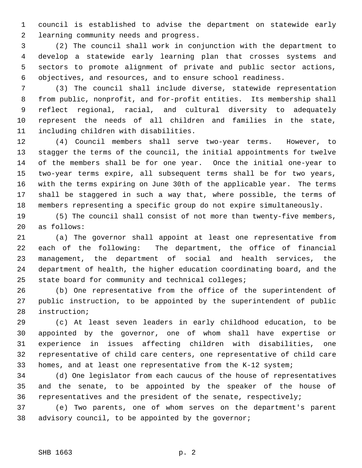council is established to advise the department on statewide early learning community needs and progress.

 (2) The council shall work in conjunction with the department to develop a statewide early learning plan that crosses systems and sectors to promote alignment of private and public sector actions, objectives, and resources, and to ensure school readiness.

 (3) The council shall include diverse, statewide representation from public, nonprofit, and for-profit entities. Its membership shall reflect regional, racial, and cultural diversity to adequately represent the needs of all children and families in the state, including children with disabilities.

 (4) Council members shall serve two-year terms. However, to stagger the terms of the council, the initial appointments for twelve of the members shall be for one year. Once the initial one-year to two-year terms expire, all subsequent terms shall be for two years, with the terms expiring on June 30th of the applicable year. The terms shall be staggered in such a way that, where possible, the terms of members representing a specific group do not expire simultaneously.

 (5) The council shall consist of not more than twenty-five members, as follows:

 (a) The governor shall appoint at least one representative from each of the following: The department, the office of financial management, the department of social and health services, the department of health, the higher education coordinating board, and the state board for community and technical colleges;

 (b) One representative from the office of the superintendent of public instruction, to be appointed by the superintendent of public instruction;

 (c) At least seven leaders in early childhood education, to be appointed by the governor, one of whom shall have expertise or experience in issues affecting children with disabilities, one representative of child care centers, one representative of child care homes, and at least one representative from the K-12 system;

 (d) One legislator from each caucus of the house of representatives and the senate, to be appointed by the speaker of the house of representatives and the president of the senate, respectively;

 (e) Two parents, one of whom serves on the department's parent advisory council, to be appointed by the governor;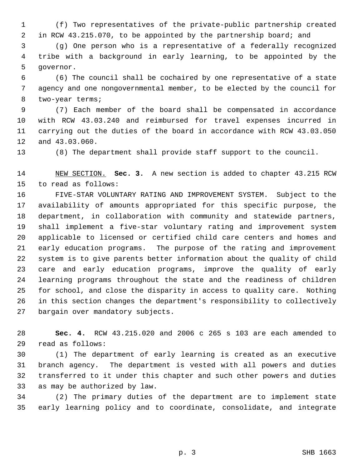(f) Two representatives of the private-public partnership created in RCW 43.215.070, to be appointed by the partnership board; and

 (g) One person who is a representative of a federally recognized tribe with a background in early learning, to be appointed by the governor.

 (6) The council shall be cochaired by one representative of a state agency and one nongovernmental member, to be elected by the council for two-year terms;

 (7) Each member of the board shall be compensated in accordance with RCW 43.03.240 and reimbursed for travel expenses incurred in carrying out the duties of the board in accordance with RCW 43.03.050 and 43.03.060.

(8) The department shall provide staff support to the council.

 NEW SECTION. **Sec. 3.** A new section is added to chapter 43.215 RCW to read as follows:

 FIVE-STAR VOLUNTARY RATING AND IMPROVEMENT SYSTEM. Subject to the availability of amounts appropriated for this specific purpose, the department, in collaboration with community and statewide partners, shall implement a five-star voluntary rating and improvement system applicable to licensed or certified child care centers and homes and early education programs. The purpose of the rating and improvement system is to give parents better information about the quality of child care and early education programs, improve the quality of early learning programs throughout the state and the readiness of children for school, and close the disparity in access to quality care. Nothing in this section changes the department's responsibility to collectively bargain over mandatory subjects.

 **Sec. 4.** RCW 43.215.020 and 2006 c 265 s 103 are each amended to read as follows:

 (1) The department of early learning is created as an executive branch agency. The department is vested with all powers and duties transferred to it under this chapter and such other powers and duties as may be authorized by law.

 (2) The primary duties of the department are to implement state early learning policy and to coordinate, consolidate, and integrate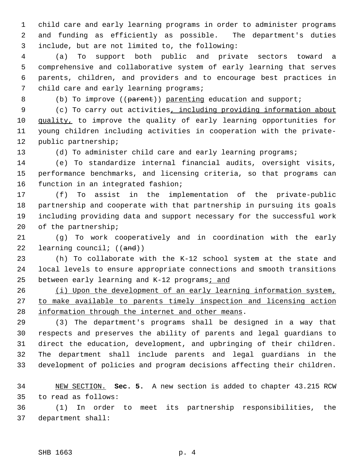child care and early learning programs in order to administer programs and funding as efficiently as possible. The department's duties include, but are not limited to, the following:

 (a) To support both public and private sectors toward a comprehensive and collaborative system of early learning that serves parents, children, and providers and to encourage best practices in 7 child care and early learning programs;

8 (b) To improve ((parent)) parenting education and support;

 (c) To carry out activities, including providing information about 10 quality, to improve the quality of early learning opportunities for young children including activities in cooperation with the private-public partnership;

(d) To administer child care and early learning programs;

 (e) To standardize internal financial audits, oversight visits, performance benchmarks, and licensing criteria, so that programs can function in an integrated fashion;

 (f) To assist in the implementation of the private-public partnership and cooperate with that partnership in pursuing its goals including providing data and support necessary for the successful work of the partnership;

 (g) To work cooperatively and in coordination with the early 22 learning council;  $((and))$ 

 (h) To collaborate with the K-12 school system at the state and local levels to ensure appropriate connections and smooth transitions 25 between early learning and K-12 programs; and

26 (i) Upon the development of an early learning information system, to make available to parents timely inspection and licensing action information through the internet and other means.

 (3) The department's programs shall be designed in a way that respects and preserves the ability of parents and legal guardians to direct the education, development, and upbringing of their children. The department shall include parents and legal guardians in the development of policies and program decisions affecting their children.

 NEW SECTION. **Sec. 5.** A new section is added to chapter 43.215 RCW to read as follows:

 (1) In order to meet its partnership responsibilities, the department shall: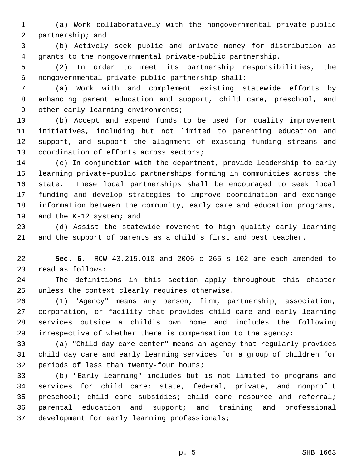(a) Work collaboratively with the nongovernmental private-public partnership; and

 (b) Actively seek public and private money for distribution as grants to the nongovernmental private-public partnership.

 (2) In order to meet its partnership responsibilities, the nongovernmental private-public partnership shall:

 (a) Work with and complement existing statewide efforts by enhancing parent education and support, child care, preschool, and 9 other early learning environments;

 (b) Accept and expend funds to be used for quality improvement initiatives, including but not limited to parenting education and support, and support the alignment of existing funding streams and coordination of efforts across sectors;

 (c) In conjunction with the department, provide leadership to early learning private-public partnerships forming in communities across the state. These local partnerships shall be encouraged to seek local funding and develop strategies to improve coordination and exchange information between the community, early care and education programs, and the K-12 system; and

 (d) Assist the statewide movement to high quality early learning and the support of parents as a child's first and best teacher.

 **Sec. 6.** RCW 43.215.010 and 2006 c 265 s 102 are each amended to read as follows:

 The definitions in this section apply throughout this chapter unless the context clearly requires otherwise.

 (1) "Agency" means any person, firm, partnership, association, corporation, or facility that provides child care and early learning services outside a child's own home and includes the following irrespective of whether there is compensation to the agency:

 (a) "Child day care center" means an agency that regularly provides child day care and early learning services for a group of children for periods of less than twenty-four hours;

 (b) "Early learning" includes but is not limited to programs and services for child care; state, federal, private, and nonprofit preschool; child care subsidies; child care resource and referral; parental education and support; and training and professional development for early learning professionals;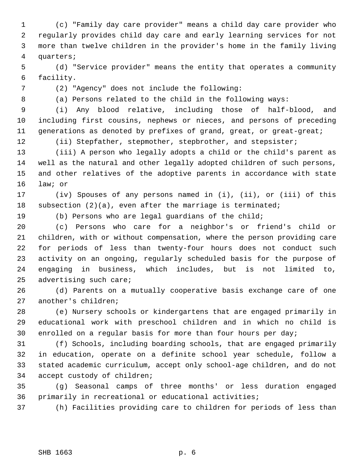(c) "Family day care provider" means a child day care provider who regularly provides child day care and early learning services for not more than twelve children in the provider's home in the family living quarters;

 (d) "Service provider" means the entity that operates a community facility.

(2) "Agency" does not include the following:

(a) Persons related to the child in the following ways:

 (i) Any blood relative, including those of half-blood, and including first cousins, nephews or nieces, and persons of preceding 11 generations as denoted by prefixes of grand, great, or great-great;

(ii) Stepfather, stepmother, stepbrother, and stepsister;

 (iii) A person who legally adopts a child or the child's parent as well as the natural and other legally adopted children of such persons, and other relatives of the adoptive parents in accordance with state law; or

 (iv) Spouses of any persons named in (i), (ii), or (iii) of this subsection (2)(a), even after the marriage is terminated;

(b) Persons who are legal guardians of the child;

 (c) Persons who care for a neighbor's or friend's child or children, with or without compensation, where the person providing care for periods of less than twenty-four hours does not conduct such activity on an ongoing, regularly scheduled basis for the purpose of engaging in business, which includes, but is not limited to, advertising such care;

 (d) Parents on a mutually cooperative basis exchange care of one another's children;

 (e) Nursery schools or kindergartens that are engaged primarily in educational work with preschool children and in which no child is enrolled on a regular basis for more than four hours per day;

 (f) Schools, including boarding schools, that are engaged primarily in education, operate on a definite school year schedule, follow a stated academic curriculum, accept only school-age children, and do not accept custody of children;

 (g) Seasonal camps of three months' or less duration engaged primarily in recreational or educational activities;

(h) Facilities providing care to children for periods of less than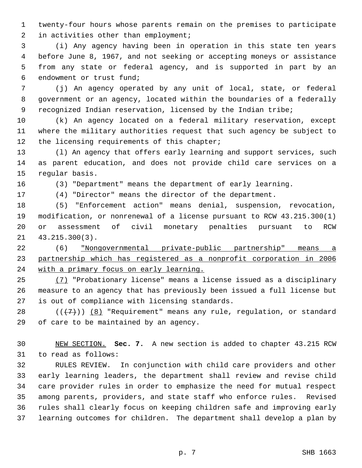twenty-four hours whose parents remain on the premises to participate in activities other than employment;

 (i) Any agency having been in operation in this state ten years before June 8, 1967, and not seeking or accepting moneys or assistance from any state or federal agency, and is supported in part by an endowment or trust fund;

 (j) An agency operated by any unit of local, state, or federal government or an agency, located within the boundaries of a federally recognized Indian reservation, licensed by the Indian tribe;

 (k) An agency located on a federal military reservation, except where the military authorities request that such agency be subject to 12 the licensing requirements of this chapter;

 (l) An agency that offers early learning and support services, such as parent education, and does not provide child care services on a regular basis.

(3) "Department" means the department of early learning.

(4) "Director" means the director of the department.

 (5) "Enforcement action" means denial, suspension, revocation, modification, or nonrenewal of a license pursuant to RCW 43.215.300(1) or assessment of civil monetary penalties pursuant to RCW 43.215.300(3).

 (6) "Nongovernmental private-public partnership" means a partnership which has registered as a nonprofit corporation in 2006 24 with a primary focus on early learning.

 (7) "Probationary license" means a license issued as a disciplinary measure to an agency that has previously been issued a full license but is out of compliance with licensing standards.

28  $((+7))$   $(8)$  "Requirement" means any rule, regulation, or standard of care to be maintained by an agency.

 NEW SECTION. **Sec. 7.** A new section is added to chapter 43.215 RCW to read as follows:

 RULES REVIEW. In conjunction with child care providers and other early learning leaders, the department shall review and revise child care provider rules in order to emphasize the need for mutual respect among parents, providers, and state staff who enforce rules. Revised rules shall clearly focus on keeping children safe and improving early learning outcomes for children. The department shall develop a plan by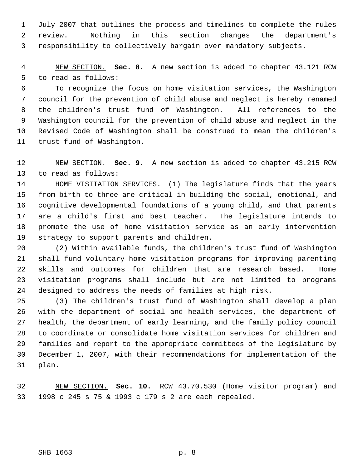July 2007 that outlines the process and timelines to complete the rules review. Nothing in this section changes the department's responsibility to collectively bargain over mandatory subjects.

 NEW SECTION. **Sec. 8.** A new section is added to chapter 43.121 RCW to read as follows:

 To recognize the focus on home visitation services, the Washington council for the prevention of child abuse and neglect is hereby renamed the children's trust fund of Washington. All references to the Washington council for the prevention of child abuse and neglect in the Revised Code of Washington shall be construed to mean the children's trust fund of Washington.

 NEW SECTION. **Sec. 9.** A new section is added to chapter 43.215 RCW to read as follows:

 HOME VISITATION SERVICES. (1) The legislature finds that the years from birth to three are critical in building the social, emotional, and cognitive developmental foundations of a young child, and that parents are a child's first and best teacher. The legislature intends to promote the use of home visitation service as an early intervention strategy to support parents and children.

 (2) Within available funds, the children's trust fund of Washington shall fund voluntary home visitation programs for improving parenting skills and outcomes for children that are research based. Home visitation programs shall include but are not limited to programs designed to address the needs of families at high risk.

 (3) The children's trust fund of Washington shall develop a plan with the department of social and health services, the department of health, the department of early learning, and the family policy council to coordinate or consolidate home visitation services for children and families and report to the appropriate committees of the legislature by December 1, 2007, with their recommendations for implementation of the plan.

 NEW SECTION. **Sec. 10.** RCW 43.70.530 (Home visitor program) and 1998 c 245 s 75 & 1993 c 179 s 2 are each repealed.